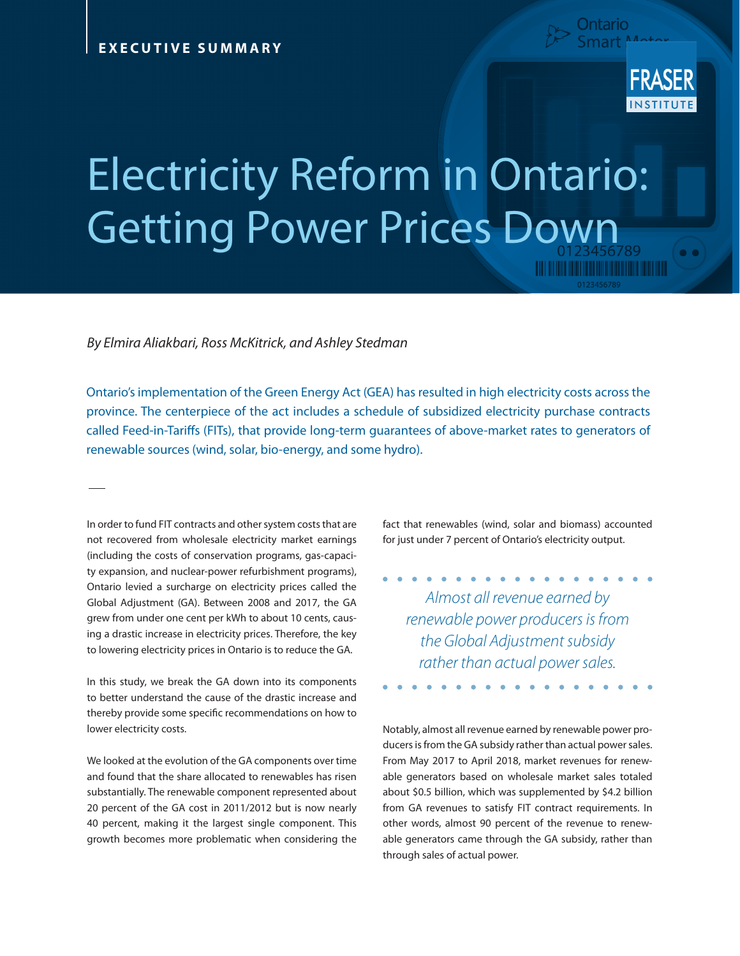

## Electricity Reform in Ontario: Getting Power Prices Down

*By Elmira Aliakbari, Ross McKitrick, and Ashley Stedman* 

Ontario's implementation of the Green Energy Act (GEA) has resulted in high electricity costs across the province. The centerpiece of the act includes a schedule of subsidized electricity purchase contracts called Feed-in-Tariffs (FITs), that provide long-term guarantees of above-market rates to generators of renewable sources (wind, solar, bio-energy, and some hydro).

In order to fund FIT contracts and other system costs that are not recovered from wholesale electricity market earnings (including the costs of conservation programs, gas-capacity expansion, and nuclear-power refurbishment programs), Ontario levied a surcharge on electricity prices called the Global Adjustment (GA). Between 2008 and 2017, the GA grew from under one cent per kWh to about 10 cents, causing a drastic increase in electricity prices. Therefore, the key to lowering electricity prices in Ontario is to reduce the GA.

In this study, we break the GA down into its components to better understand the cause of the drastic increase and thereby provide some specific recommendations on how to lower electricity costs.

We looked at the evolution of the GA components over time and found that the share allocated to renewables has risen substantially. The renewable component represented about 20 percent of the GA cost in 2011/2012 but is now nearly 40 percent, making it the largest single component. This growth becomes more problematic when considering the

fact that renewables (wind, solar and biomass) accounted for just under 7 percent of Ontario's electricity output.

. . . . . . . . *Almost all revenue earned by renewable power producers is from the Global Adjustment subsidy rather than actual power sales.*

Notably, almost all revenue earned by renewable power producers is from the GA subsidy rather than actual power sales. From May 2017 to April 2018, market revenues for renewable generators based on wholesale market sales totaled about \$0.5 billion, which was supplemented by \$4.2 billion from GA revenues to satisfy FIT contract requirements. In other words, almost 90 percent of the revenue to renewable generators came through the GA subsidy, rather than through sales of actual power.